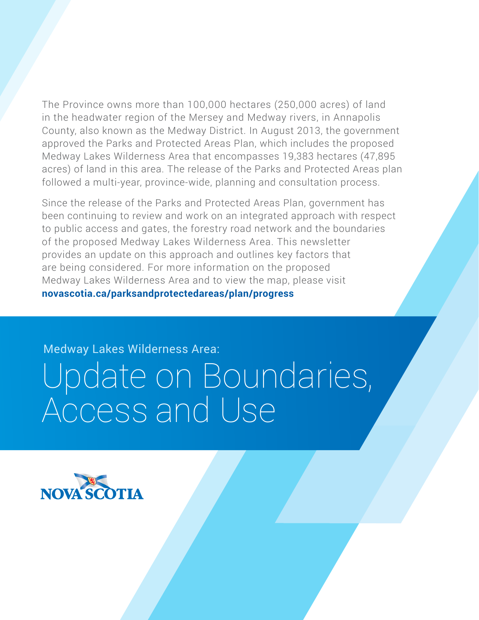The Province owns more than 100,000 hectares (250,000 acres) of land in the headwater region of the Mersey and Medway rivers, in Annapolis County, also known as the Medway District. In August 2013, the government approved the Parks and Protected Areas Plan, which includes the proposed Medway Lakes Wilderness Area that encompasses 19,383 hectares (47,895 acres) of land in this area. The release of the Parks and Protected Areas plan followed a multi-year, province-wide, planning and consultation process.

Since the release of the Parks and Protected Areas Plan, government has been continuing to review and work on an integrated approach with respect to public access and gates, the forestry road network and the boundaries of the proposed Medway Lakes Wilderness Area. This newsletter provides an update on this approach and outlines key factors that are being considered. For more information on the proposed Medway Lakes Wilderness Area and to view the map, please visit **[novascotia.ca/parksandprotectedareas/plan/progress](http://novascotia.ca/parksandprotectedareas/plan/progress)**

Medway Lakes Wilderness Area:

# Update on Boundaries, Access and Use

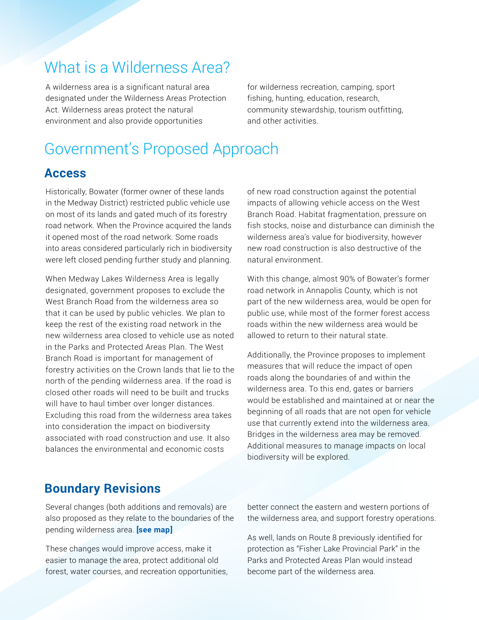## What is a Wilderness Area?

A wilderness area is a significant natural area designated under the Wilderness Areas Protection Act. Wilderness areas protect the natural environment and also provide opportunities

for wilderness recreation, camping, sport fishing, hunting, education, research, community stewardship, tourism outfitting, and other activities.

## Government's Proposed Approach

#### **Access**

Historically, Bowater (former owner of these lands in the Medway District) restricted public vehicle use on most of its lands and gated much of its forestry road network. When the Province acquired the lands it opened most of the road network. Some roads into areas considered particularly rich in biodiversity were left closed pending further study and planning.

When Medway Lakes Wilderness Area is legally designated, government proposes to exclude the West Branch Road from the wilderness area so that it can be used by public vehicles. We plan to keep the rest of the existing road network in the new wilderness area closed to vehicle use as noted in the Parks and Protected Areas Plan. The West Branch Road is important for management of forestry activities on the Crown lands that lie to the north of the pending wilderness area. If the road is closed other roads will need to be built and trucks will have to haul timber over longer distances. Excluding this road from the wilderness area takes into consideration the impact on biodiversity associated with road construction and use. It also balances the environmental and economic costs

of new road construction against the potential impacts of allowing vehicle access on the West Branch Road. Habitat fragmentation, pressure on fish stocks, noise and disturbance can diminish the wilderness area's value for biodiversity, however new road construction is also destructive of the natural environment.

With this change, almost 90% of Bowater's former road network in Annapolis County, which is not part of the new wilderness area, would be open for public use, while most of the former forest access roads within the new wilderness area would be allowed to return to their natural state.

Additionally, the Province proposes to implement measures that will reduce the impact of open roads along the boundaries of and within the wilderness area. To this end, gates or barriers would be established and maintained at or near the beginning of all roads that are not open for vehicle use that currently extend into the wilderness area. Bridges in the wilderness area may be removed. Additional measures to manage impacts on local biodiversity will be explored.

#### **Boundary Revisions**

Several changes (both additions and removals) are also proposed as they relate to the boundaries of the pending wilderness area. **[\[see map\]](http://dev.novascotia.ca/parksandprotectedareas/plan/progress/mlwa/Medway_Lakes_Wilderness_Area_consultation_map_Sept10_2015.pdf)**

These changes would improve access, make it easier to manage the area, protect additional old forest, water courses, and recreation opportunities, better connect the eastern and western portions of the wilderness area, and support forestry operations.

As well, lands on Route 8 previously identified for protection as "Fisher Lake Provincial Park" in the Parks and Protected Areas Plan would instead become part of the wilderness area.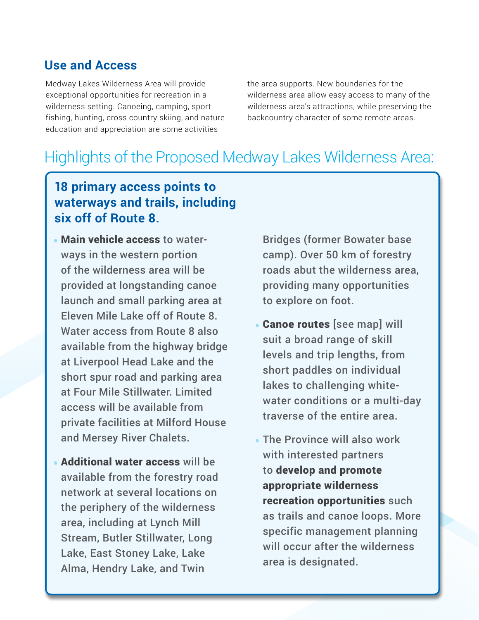#### **Use and Access**

Medway Lakes Wilderness Area will provide exceptional opportunities for recreation in a wilderness setting. Canoeing, camping, sport fishing, hunting, cross country skiing, and nature education and appreciation are some activities

the area supports. New boundaries for the wilderness area allow easy access to many of the wilderness area's attractions, while preserving the backcountry character of some remote areas.

## Highlights of the Proposed Medway Lakes Wilderness Area:

#### **18 primary access points to waterways and trails, including six off of Route 8.**

- Main vehicle access to waterways in the western portion of the wilderness area will be provided at longstanding canoe launch and small parking area at Eleven Mile Lake off of Route 8. Water access from Route 8 also available from the highway bridge at Liverpool Head Lake and the short spur road and parking area at Four Mile Stillwater. Limited access will be available from private facilities at Milford House and Mersey River Chalets.
- Additional water access will be available from the forestry road network at several locations on the periphery of the wilderness area, including at Lynch Mill Stream, Butler Stillwater, Long Lake, East Stoney Lake, Lake Alma, Hendry Lake, and Twin

Bridges (former Bowater base camp). Over 50 km of forestry roads abut the wilderness area, providing many opportunities to explore on foot.

- **Canoe routes [\[see map\]](http://dev.novascotia.ca/parksandprotectedareas/plan/progress/mlwa/Medway_Lakes_Wilderness_Area_consultation_map_Sept10_2015.pdf) will** suit a broad range of skill levels and trip lengths, from short paddles on individual lakes to challenging whitewater conditions or a multi-day traverse of the entire area.
- The Province will also work with interested partners to develop and promote appropriate wilderness recreation opportunities such as trails and canoe loops. More specific management planning will occur after the wilderness area is designated.